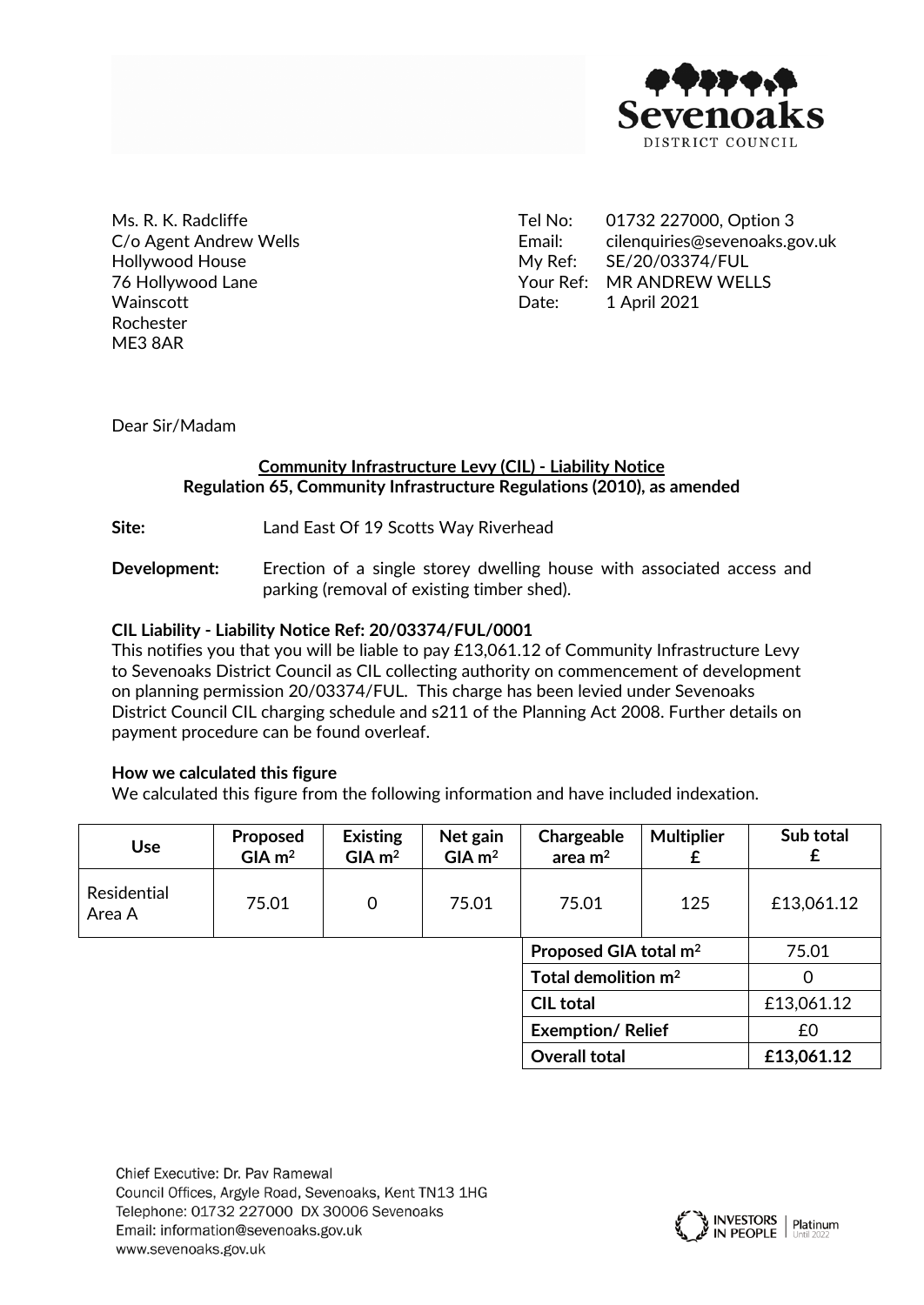

Ms. R. K. Radcliffe C/o Agent Andrew Wells Hollywood House 76 Hollywood Lane **Wainscott** Rochester ME3 8AR

Tel No: 01732 227000, Option 3 Email: [cilenquiries@sevenoaks.gov.uk](mailto:cilenquiries@sevenoaks.gov.uk) My Ref: SE/20/03374/FUL Your Ref: MR ANDREW WELLS Date: 1 April 2021

Dear Sir/Madam

## **Community Infrastructure Levy (CIL) - Liability Notice Regulation 65, Community Infrastructure Regulations (2010), as amended**

**Site:** Land East Of 19 Scotts Way Riverhead

**Development:** Erection of a single storey dwelling house with associated access and parking (removal of existing timber shed).

### **CIL Liability - Liability Notice Ref: 20/03374/FUL/0001**

This notifies you that you will be liable to pay £13,061.12 of Community Infrastructure Levy to Sevenoaks District Council as CIL collecting authority on commencement of development on planning permission 20/03374/FUL. This charge has been levied under Sevenoaks District Council CIL charging schedule and s211 of the Planning Act 2008. Further details on payment procedure can be found overleaf.

### **How we calculated this figure**

We calculated this figure from the following information and have included indexation.

| <b>Use</b>            | Proposed<br>$GIA$ m <sup>2</sup> | <b>Existing</b><br>$GIA$ m <sup>2</sup> | Net gain<br>$GIA$ m <sup>2</sup> | Chargeable<br>area $m2$           | <b>Multiplier</b><br>£ | Sub total<br>£ |
|-----------------------|----------------------------------|-----------------------------------------|----------------------------------|-----------------------------------|------------------------|----------------|
| Residential<br>Area A | 75.01                            | 0                                       | 75.01                            | 75.01                             | 125                    | £13,061.12     |
|                       |                                  |                                         |                                  | Proposed GIA total m <sup>2</sup> |                        | 75.01          |
|                       |                                  |                                         |                                  | Total demolition $m2$             |                        | 0              |
|                       |                                  |                                         |                                  | <b>CIL total</b>                  |                        | £13,061.12     |
|                       |                                  |                                         |                                  | <b>Exemption/Relief</b>           |                        | £0             |
|                       |                                  |                                         |                                  | <b>Overall total</b>              |                        | £13,061.12     |

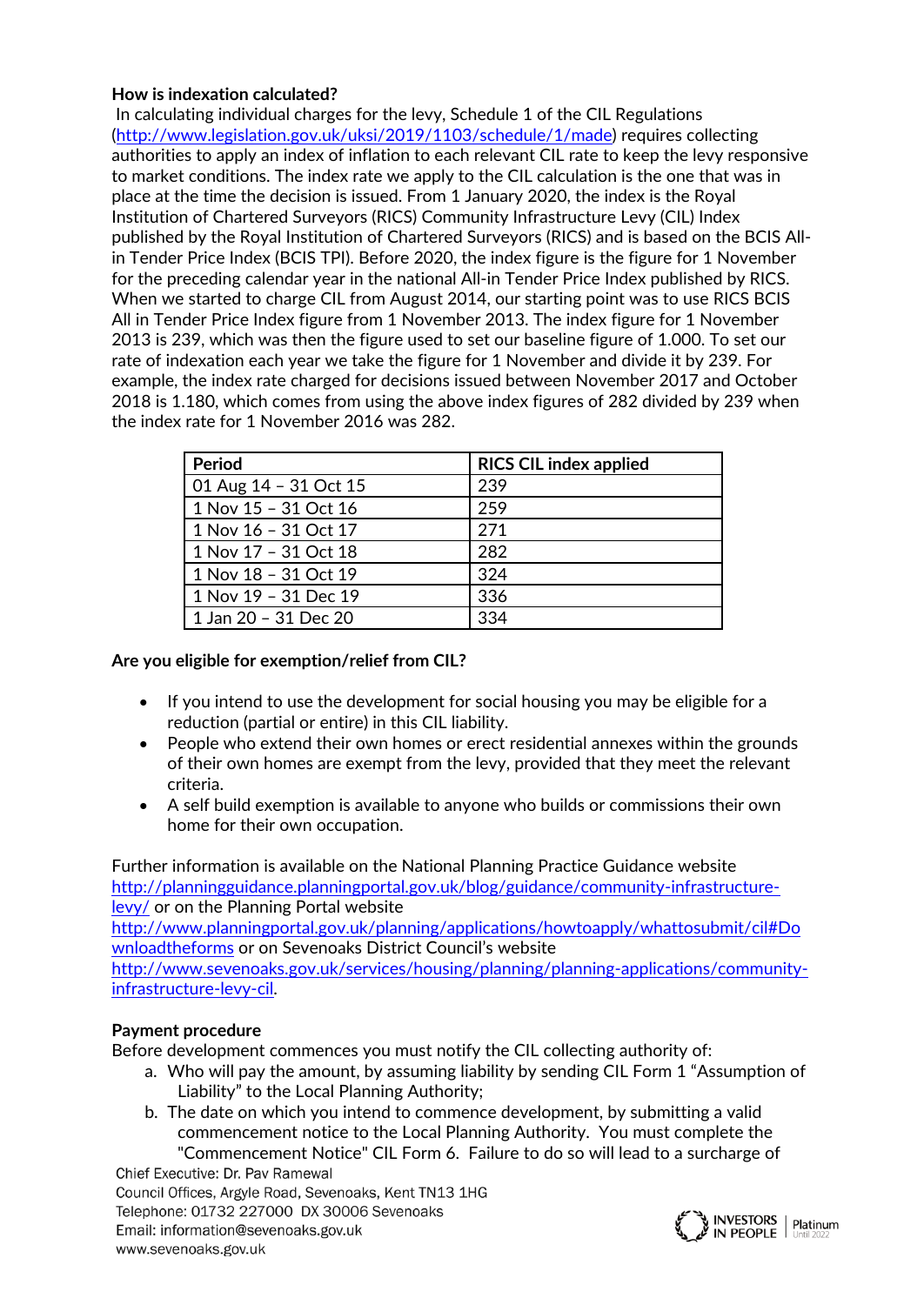# **How is indexation calculated?**

In calculating individual charges for the levy, Schedule 1 of the CIL Regulations ([http://www.legislation.gov.uk/uksi/2019/1103/schedule/1/made\)](http://www.legislation.gov.uk/uksi/2019/1103/schedule/1/made) requires collecting authorities to apply an index of inflation to each relevant CIL rate to keep the levy responsive to market conditions. The index rate we apply to the CIL calculation is the one that was in place at the time the decision is issued. From 1 January 2020, the index is the Royal Institution of Chartered Surveyors (RICS) Community Infrastructure Levy (CIL) Index published by the Royal Institution of Chartered Surveyors (RICS) and is based on the BCIS Allin Tender Price Index (BCIS TPI). Before 2020, the index figure is the figure for 1 November for the preceding calendar year in the national All-in Tender Price Index published by RICS. When we started to charge CIL from August 2014, our starting point was to use RICS BCIS All in Tender Price Index figure from 1 November 2013. The index figure for 1 November 2013 is 239, which was then the figure used to set our baseline figure of 1.000. To set our rate of indexation each year we take the figure for 1 November and divide it by 239. For example, the index rate charged for decisions issued between November 2017 and October 2018 is 1.180, which comes from using the above index figures of 282 divided by 239 when the index rate for 1 November 2016 was 282.

| Period                | <b>RICS CIL index applied</b> |
|-----------------------|-------------------------------|
| 01 Aug 14 - 31 Oct 15 | 239                           |
| 1 Nov 15 - 31 Oct 16  | 259                           |
| 1 Nov 16 - 31 Oct 17  | 271                           |
| 1 Nov 17 - 31 Oct 18  | 282                           |
| 1 Nov 18 - 31 Oct 19  | 324                           |
| 1 Nov 19 - 31 Dec 19  | 336                           |
| 1 Jan 20 - 31 Dec 20  | 334                           |

## **Are you eligible for exemption/relief from CIL?**

- If you intend to use the development for social housing you may be eligible for a reduction (partial or entire) in this CIL liability.
- People who extend their own homes or erect residential annexes within the grounds of their own homes are exempt from the levy, provided that they meet the relevant criteria.
- A self build exemption is available to anyone who builds or commissions their own home for their own occupation.

Further information is available on the National Planning Practice Guidance website [http://planningguidance.planningportal.gov.uk/blog/guidance/community-infrastructure](http://planningguidance.planningportal.gov.uk/blog/guidance/community-infrastructure-levy/)[levy/](http://planningguidance.planningportal.gov.uk/blog/guidance/community-infrastructure-levy/) or on the Planning Portal website

[http://www.planningportal.gov.uk/planning/applications/howtoapply/whattosubmit/cil#Do](http://www.planningportal.gov.uk/planning/applications/howtoapply/whattosubmit/cil#Downloadtheforms) [wnloadtheforms](http://www.planningportal.gov.uk/planning/applications/howtoapply/whattosubmit/cil#Downloadtheforms) or on Sevenoaks District Council's website

[http://www.sevenoaks.gov.uk/services/housing/planning/planning-applications/community](http://www.sevenoaks.gov.uk/services/housing/planning/planning-applications/community-infrastructure-levy-cil)[infrastructure-levy-cil](http://www.sevenoaks.gov.uk/services/housing/planning/planning-applications/community-infrastructure-levy-cil).

# **Payment procedure**

Before development commences you must notify the CIL collecting authority of:

- a. Who will pay the amount, by assuming liability by sending CIL Form 1 "Assumption of Liability" to the Local Planning Authority;
- b. The date on which you intend to commence development, by submitting a valid commencement notice to the Local Planning Authority. You must complete the "Commencement Notice" CIL Form 6. Failure to do so will lead to a surcharge of

Chief Executive: Dr. Pav Ramewal Council Offices, Argyle Road, Sevenoaks, Kent TN13 1HG Telephone: 01732 227000 DX 30006 Sevenoaks Email: information@sevenoaks.gov.uk www.sevenoaks.gov.uk

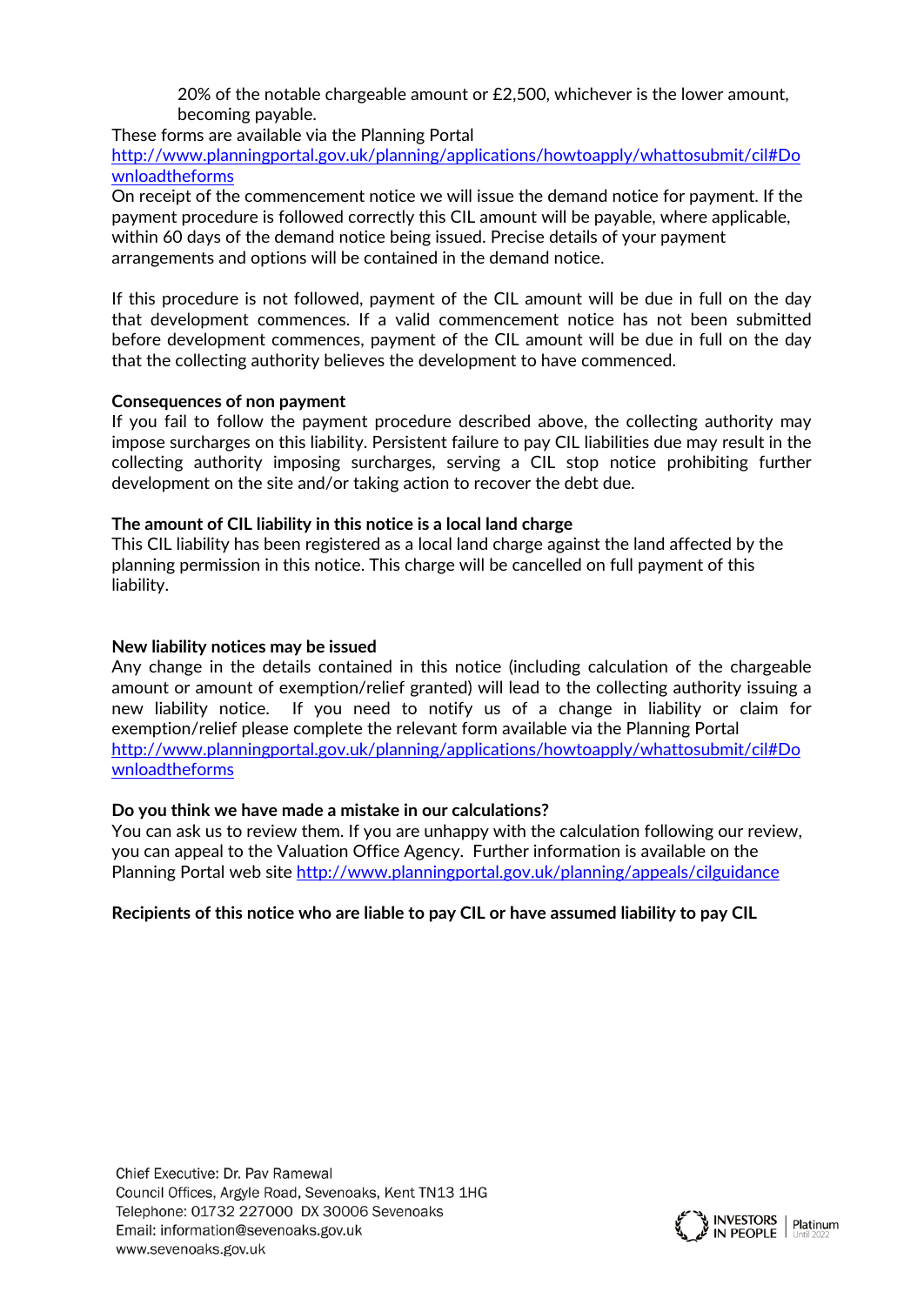20% of the notable chargeable amount or £2,500, whichever is the lower amount, becoming payable.

These forms are available via the Planning Portal

[http://www.planningportal.gov.uk/planning/applications/howtoapply/whattosubmit/cil#Do](http://www.planningportal.gov.uk/planning/applications/howtoapply/whattosubmit/cil#Downloadtheforms) [wnloadtheforms](http://www.planningportal.gov.uk/planning/applications/howtoapply/whattosubmit/cil#Downloadtheforms)

On receipt of the commencement notice we will issue the demand notice for payment. If the payment procedure is followed correctly this CIL amount will be payable, where applicable, within 60 days of the demand notice being issued. Precise details of your payment arrangements and options will be contained in the demand notice.

If this procedure is not followed, payment of the CIL amount will be due in full on the day that development commences. If a valid commencement notice has not been submitted before development commences, payment of the CIL amount will be due in full on the day that the collecting authority believes the development to have commenced.

## **Consequences of non payment**

If you fail to follow the payment procedure described above, the collecting authority may impose surcharges on this liability. Persistent failure to pay CIL liabilities due may result in the collecting authority imposing surcharges, serving a CIL stop notice prohibiting further development on the site and/or taking action to recover the debt due.

## **The amount of CIL liability in this notice is a local land charge**

This CIL liability has been registered as a local land charge against the land affected by the planning permission in this notice. This charge will be cancelled on full payment of this liability.

## **New liability notices may be issued**

Any change in the details contained in this notice (including calculation of the chargeable amount or amount of exemption/relief granted) will lead to the collecting authority issuing a new liability notice. If you need to notify us of a change in liability or claim for exemption/relief please complete the relevant form available via the Planning Portal [http://www.planningportal.gov.uk/planning/applications/howtoapply/whattosubmit/cil#Do](http://www.planningportal.gov.uk/planning/applications/howtoapply/whattosubmit/cil#Downloadtheforms) [wnloadtheforms](http://www.planningportal.gov.uk/planning/applications/howtoapply/whattosubmit/cil#Downloadtheforms)

### **Do you think we have made a mistake in our calculations?**

You can ask us to review them. If you are unhappy with the calculation following our review, you can appeal to the Valuation Office Agency. Further information is available on the Planning Portal web site <http://www.planningportal.gov.uk/planning/appeals/cilguidance>

# **Recipients of this notice who are liable to pay CIL or have assumed liability to pay CIL**